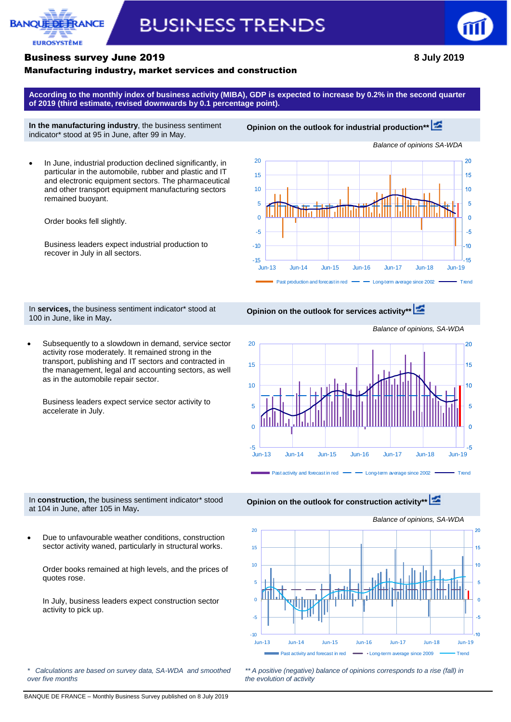

# **BUSINESS TRENDS**



#### Business survey June 2019 **8 July 2019**

#### Manufacturing industry, market services and construction

**According to the monthly index of business activity (MIBA), GDP is expected to increase by 0.2% in the second quarter of 2019 (third estimate, revised downwards by 0.1 percentage point).**

**In the manufacturing industry**, the business sentiment indicator\* stood at 95 in June, after 99 in May.

**Opinion on the outlook for industrial production\*[\\*](http://webstat.banque-france.fr/en/publication/Conj_EMC_graph1_EN)**

 In June, industrial production declined significantly, in particular in the automobile, rubber and plastic and IT and electronic equipment sectors. The pharmaceutical and other transport equipment manufacturing sectors remained buoyant.

Order books fell slightly.

Business leaders expect industrial production to recover in July in all sectors.



In **services,** the business sentiment indicator\* stood at 100 in June, like in May**.**

**Opinion on the outlook for services activity\*\***

 Subsequently to a slowdown in demand, service sector activity rose moderately. It remained strong in the transport, publishing and IT sectors and contracted in the management, legal and accounting sectors, as well as in the automobile repair sector.

Business leaders expect service sector activity to accelerate in July.

20  $\overline{20}$ 15 15 10  $10$ 5 5  $\overline{0}$  $\overline{0}$ į. -5 Jun-13 Jun-14 Jun-15 Jun-16 Jun-17 Jun-18 Jun-19 Past activity and forecast in red  $\longrightarrow$  Long-term average since 2002  $\longrightarrow$  Trend

In **construction,** the business sentiment indicator\* stood at 104 in June, after 105 in May**.**

 Due to unfavourable weather conditions, construction sector activity waned, particularly in structural works.

Order books remained at high levels, and the prices of quotes rose.

In July, business leaders expect construction sector activity to pick up.



**Opinion on the outlook for construction activity\*[\\*](http://webstat.banque-france.fr/en/publication/Conj_EMC_graph3_EN)**



*\*\* A positive (negative) balance of opinions corresponds to a rise (fall) in the evolution of activity*

*Balance of opinions, SA-WDA*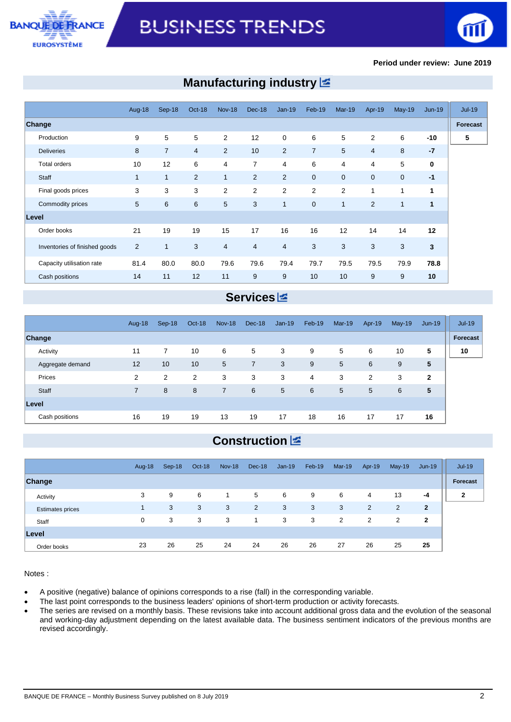



#### **Period under review: June 2019**

# **Manufacturing industry**

|                               | <b>Aug-18</b>  | Sep-18         | Oct-18         | <b>Nov-18</b>  | Dec-18         | $Jan-19$       | Feb-19         | <b>Mar-19</b>  | Apr-19         | $May-19$             | $Jun-19$     |          |
|-------------------------------|----------------|----------------|----------------|----------------|----------------|----------------|----------------|----------------|----------------|----------------------|--------------|----------|
| <b>Change</b>                 |                |                |                |                |                |                |                |                |                |                      |              | Forecast |
| Production                    | 9              | 5              | 5              | $\overline{2}$ | 12             | $\mathbf 0$    | 6              | 5              | 2              | 6                    | $-10$        |          |
| <b>Deliveries</b>             | 8              | $\overline{7}$ | $\overline{4}$ | 2              | 10             | $\overline{2}$ | $\overline{7}$ | 5              | $\overline{4}$ | 8                    | $-7$         |          |
| Total orders                  | 10             | 12             | 6              | 4              | $\overline{7}$ | 4              | 6              | 4              | 4              | 5                    | $\mathbf 0$  |          |
| Staff                         | $\mathbf{1}$   | $\mathbf{1}$   | 2              | $\mathbf{1}$   | 2              | $\overline{2}$ | $\overline{0}$ | $\mathbf{0}$   | $\mathbf 0$    | $\overline{0}$       | $-1$         |          |
| Final goods prices            | 3              | 3              | 3              | $\overline{2}$ | 2              | 2              | $\overline{2}$ | $\overline{2}$ | 1              | 1                    | 1            |          |
| Commodity prices              | 5              | 6              | 6              | 5              | 3              | 1              | $\mathbf{0}$   | 1              | $\overline{2}$ | $\blacktriangleleft$ | $\mathbf{1}$ |          |
| Level                         |                |                |                |                |                |                |                |                |                |                      |              |          |
| Order books                   | 21             | 19             | 19             | 15             | 17             | 16             | 16             | 12             | 14             | 14                   | 12           |          |
| Inventories of finished goods | $\overline{2}$ | 1              | 3              | $\overline{4}$ | $\overline{4}$ | $\overline{4}$ | 3              | 3              | 3              | 3                    | $\mathbf{3}$ |          |
| Capacity utilisation rate     | 81.4           | 80.0           | 80.0           | 79.6           | 79.6           | 79.4           | 79.7           | 79.5           | 79.5           | 79.9                 | 78.8         |          |
| Cash positions                | 14             | 11             | 12             | 11             | 9              | 9              | 10             | 10             | 9              | 9                    | 10           |          |

# **Services**

|                  | Aug-18         | Sep-18         | Oct-18 | <b>Nov-18</b>  | Dec-18 | $Jan-19$ | Feb-19         | $Mar-19$ | Apr-19         | $May-19$ | $Jun-19$     | $Jul-19$ |
|------------------|----------------|----------------|--------|----------------|--------|----------|----------------|----------|----------------|----------|--------------|----------|
| Change           |                |                |        |                |        |          |                |          |                |          |              | Forecast |
| Activity         | 11             | $\overline{7}$ | 10     | 6              | 5      | 3        | 9              | 5        | 6              | 10       | 5            | 10       |
| Aggregate demand | 12             | 10             | 10     | 5              | 7      | 3        | 9              | 5        | 6              | 9        | 5            |          |
| Prices           | 2              | $\overline{2}$ | 2      | 3              | 3      | 3        | $\overline{4}$ | 3        | $\overline{2}$ | 3        | $\mathbf{2}$ |          |
| Staff            | $\overline{7}$ | 8              | 8      | $\overline{7}$ | 6      | 5        | 6              | 5        | 5              | 6        | 5            |          |
| Level            |                |                |        |                |        |          |                |          |                |          |              |          |
| Cash positions   | 16             | 19             | 19     | 13             | 19     | 17       | 18             | 16       | 17             | 17       | 16           |          |

# **Construction**

|                         | Aug-18      | $Sep-18$ | Oct-18 | <b>Nov-18</b> | Dec-18         | $Jan-19$ | Feb-19 | $Mar-19$ | Apr-19         | $May-19$       | $Jun-19$     | Jul-19       |
|-------------------------|-------------|----------|--------|---------------|----------------|----------|--------|----------|----------------|----------------|--------------|--------------|
| Change                  |             |          |        |               |                |          |        |          |                |                |              | Forecast     |
| Activity                | 3           | 9        | 6      | 1             | 5              | 6        | 9      | 6        | 4              | 13             | $-4$         | $\mathbf{2}$ |
| <b>Estimates prices</b> |             | 3        | 3      | 3             | $\overline{2}$ | 3        | 3      | 3        | $\overline{2}$ | $\overline{2}$ | $\mathbf{2}$ |              |
| Staff                   | $\mathbf 0$ | 3        | 3      | 3             |                | 3        | 3      | 2        | $\overline{2}$ | $\overline{2}$ | 2            |              |
| Level                   |             |          |        |               |                |          |        |          |                |                |              |              |
| Order books             | 23          | 26       | 25     | 24            | 24             | 26       | 26     | 27       | 26             | 25             | 25           |              |

Notes :

- A positive (negative) balance of opinions corresponds to a rise (fall) in the corresponding variable.
- The last point corresponds to the business leaders' opinions of short-term production or activity forecasts.
- The series are revised on a monthly basis. These revisions take into account additional gross data and the evolution of the seasonal and working-day adjustment depending on the latest available data. The business sentiment indicators of the previous months are revised accordingly.